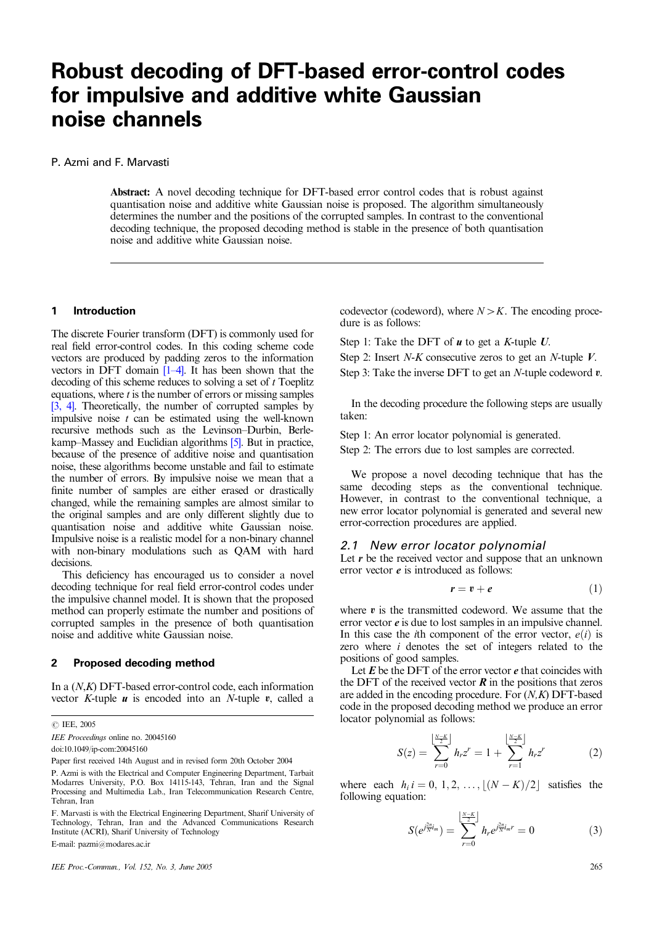# **Robust decoding of DFT-based error-control codes for impulsive and additive white Gaussian noise channels**

# P. Azmi and F. Marvasti

Abstract: A novel decoding technique for DFT-based error control codes that is robust against quantisation noise and additive white Gaussian noise is proposed. The algorithm simultaneously determines the number and the positions of the corrupted samples. In contrast to the conventional decoding technique, the proposed decoding method is stable in the presence of both quantisation noise and additive white Gaussian noise.

#### **1 Introduction**

The discrete Fourier transform (DFT) is commonly used for real field error-control codes. In this coding scheme code vectors are produced by padding zeros to the information vectors in DFT domain [1–4]. It has been shown that the decoding of this scheme reduces to solving a set of  $t$  Toeplitz equations, where  $t$  is the number of errors or missing samples [3, 4]. Theoretically, the number of corrupted samples by impulsive noise  $t$  can be estimated using the well-known recursive methods such as the Levinson–Durbin, Berlekamp–Massey and Euclidian algorithms [5]. But in practice, because of the presence of additive noise and quantisation noise, these algorithms become unstable and fail to estimate the number of errors. By impulsive noise we mean that a finite number of samples are either erased or drastically changed, while the remaining samples are almost similar to the original samples and are only different slightly due to quantisation noise and additive white Gaussian noise. Impulsive noise is a realistic model for a non-binary channel with non-binary modulations such as QAM with hard decisions.

This deficiency has encouraged us to consider a novel decoding technique for real field error-control codes under the impulsive channel model. It is shown that the proposed method can properly estimate the number and positions of corrupted samples in the presence of both quantisation noise and additive white Gaussian noise.

# **2 Proposed decoding method**

In a (N,K) DFT-based error-control code, each information vector  $K$ -tuple  $u$  is encoded into an  $N$ -tuple  $v$ , called a

 *IEE, 2005* 

IEE Proceedings online no. 20045160

doi:10.1049/ip-com:20045160

E-mail: pazmi@modares.ac.ir

IEE Proc.-Commun., Vol. 152, No. 3, June 2005 265

codevector (codeword), where  $N > K$ . The encoding procedure is as follows:

Step 1: Take the DFT of  $u$  to get a K-tuple  $U$ .

Step 2: Insert N-K consecutive zeros to get an N-tuple  $V$ .

Step 3: Take the inverse DFT to get an *N*-tuple codeword  $v$ .

In the decoding procedure the following steps are usually taken:

Step 1: An error locator polynomial is generated.

Step 2: The errors due to lost samples are corrected.

We propose a novel decoding technique that has the same decoding steps as the conventional technique. However, in contrast to the conventional technique, a new error locator polynomial is generated and several new error-correction procedures are applied.

# *2.1 New error locator polynomial*

Let  $r$  be the received vector and suppose that an unknown error vector  $e$  is introduced as follows:

$$
r = v + e \tag{1}
$$

where  $v$  is the transmitted codeword. We assume that the error vector  $e$  is due to lost samples in an impulsive channel. In this case the *i*th component of the error vector,  $e(i)$  is zero where i denotes the set of integers related to the positions of good samples.

Let  $E$  be the DFT of the error vector  $e$  that coincides with the DFT of the received vector  $\vec{R}$  in the positions that zeros are added in the encoding procedure. For  $(N,K)$  DFT-based code in the proposed decoding method we produce an error locator polynomial as follows:

$$
S(z) = \sum_{r=0}^{\left\lfloor \frac{N-K}{2} \right\rfloor} h_r z^r = 1 + \sum_{r=1}^{\left\lfloor \frac{N-K}{2} \right\rfloor} h_r z^r \tag{2}
$$

where each  $h_i$   $i = 0, 1, 2, \ldots, |(N - K)/2|$  satisfies the following equation:

$$
S(e^{j\frac{2\pi}{N}i_m}) = \sum_{r=0}^{\left[\frac{N-K}{2}\right]} h_r e^{j\frac{2\pi}{N}i_m r} = 0 \tag{3}
$$

P. Azmi is with the Electrical and Computer Engineering Department, Tarbait Paper first received 14th August and in revised form 20th October 2004

Modarres University, P.O. Box 14115-143, Tehran, Iran and the Signal Processing and Multimedia Lab., Iran Telecommunication Research Centre, Tehran, Iran

F. Marvasti is with the Electrical Engineering Department, Sharif University of Technology, Tehran, Iran and the Advanced Communications Research Institute (ACRI), Sharif University of Technology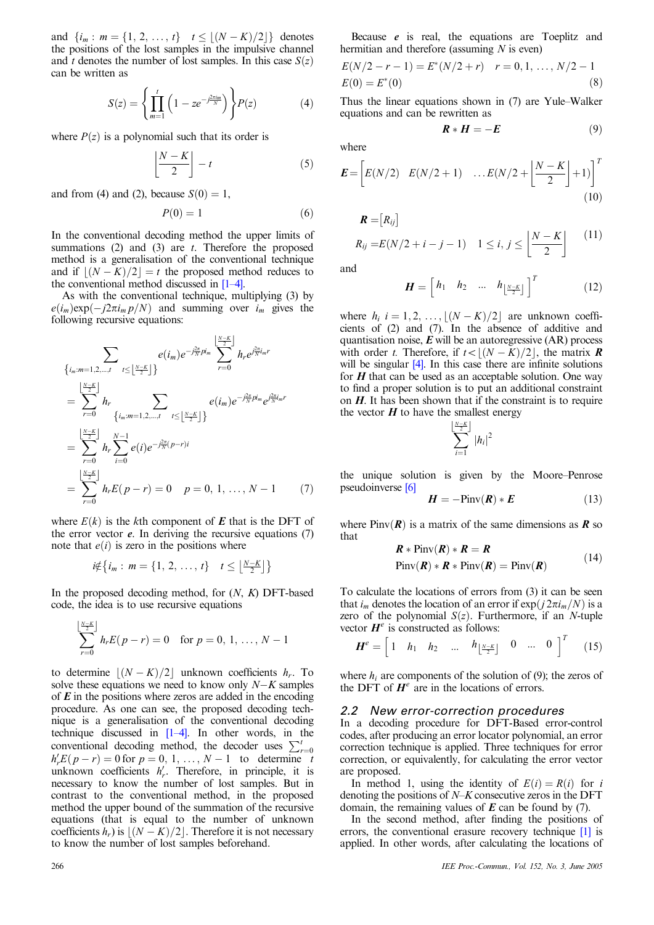and  $\{i_m : m = \{1, 2, ..., t\} \mid t \leq \lfloor (N - K)/2 \rfloor \}$  denotes the positions of the lost samples in the impulsive channel and t denotes the number of lost samples. In this case  $S(z)$ can be written as

$$
S(z) = \left\{ \prod_{m=1}^{t} \left( 1 - ze^{-j\frac{2\pi i_m}{N}} \right) \right\} P(z)
$$
 (4)

where  $P(z)$  is a polynomial such that its order is

$$
\left\lfloor \frac{N-K}{2} \right\rfloor - t \tag{5}
$$

and from (4) and (2), because  $S(0) = 1$ ,

$$
P(0) = 1 \tag{6}
$$

In the conventional decoding method the upper limits of summations  $(2)$  and  $(3)$  are t. Therefore the proposed method is a generalisation of the conventional technique and if  $\left| \frac{(N-K)}{2} \right| = t$  the proposed method reduces to the conventional method discussed in  $[1-4]$ .

As with the conventional technique, multiplying (3) by  $e(i_m) \exp(-i2\pi i_m p/N)$  and summing over  $i_m$  gives the following recursive equations:

$$
\sum_{\{i_m:m=1,2,\dots,t\}} \sum_{t \leq \lfloor \frac{N-K}{2} \rfloor} e(i_m) e^{-j\frac{2\pi}{N} p i_m} \sum_{r=0}^{\lfloor \frac{N-K}{2} \rfloor} h_r e^{j\frac{2\pi}{N} i_m r}
$$
\n
$$
= \sum_{r=0}^{\lfloor \frac{N-K}{2} \rfloor} h_r \sum_{\{i_m:m=1,2,\dots,t\}} \sum_{t \leq \lfloor \frac{N-K}{2} \rfloor \}} e(i_m) e^{-j\frac{2\pi}{N} p i_m} e^{j\frac{2\pi}{N} i_m r}
$$
\n
$$
= \sum_{r=0}^{\lfloor \frac{N-K}{2} \rfloor} h_r \sum_{i=0}^{N-1} e(i) e^{-j\frac{2\pi}{N} (p-r)i}
$$
\n
$$
= \sum_{r=0}^{\lfloor \frac{N-K}{2} \rfloor} h_r E(p-r) = 0 \quad p = 0, 1, \dots, N-1 \qquad (7)
$$

where  $E(k)$  is the kth component of **E** that is the DFT of the error vector  $e$ . In deriving the recursive equations  $(7)$ note that  $e(i)$  is zero in the positions where

$$
i \notin \{i_m : m = \{1, 2, ..., t\} \quad t \leq \lfloor \frac{N-K}{2} \rfloor\}
$$

In the proposed decoding method, for  $(N, K)$  DFT-based code, the idea is to use recursive equations

$$
\sum_{r=0}^{\lfloor \frac{N-K}{2} \rfloor} h_r E(p-r) = 0 \text{ for } p = 0, 1, ..., N-1
$$

to determine  $|(N - K)/2|$  unknown coefficients  $h_r$ . To solve these equations we need to know only  $N-K$  samples of  $\vec{E}$  in the positions where zeros are added in the encoding procedure. As one can see, the proposed decoding technique is a generalisation of the conventional decoding technique discussed in [1–4]. In other words, in the conventional decoding method, the decoder uses  $\sum_{r=0}^{t}$  $h'_r E(p - r) = 0$  for  $p = 0, 1, ..., N - 1$  to determine t unknown coefficients  $h'_r$ . Therefore, in principle, it is necessary to know the number of lost samples. But in contrast to the conventional method, in the proposed method the upper bound of the summation of the recursive equations (that is equal to the number of unknown coefficients  $h_r$ ) is  $\lfloor (N-K)/2 \rfloor$ . Therefore it is not necessary to know the number of lost samples beforehand.

$$
E(N/2 - r - 1) = E^*(N/2 + r) \quad r = 0, 1, ..., N/2 - 1
$$
  
\n
$$
E(0) = E^*(0)
$$
\n(8)

Thus the linear equations shown in (7) are Yule–Walker equations and can be rewritten as

$$
\boldsymbol{R} * \boldsymbol{H} = -\boldsymbol{E} \tag{9}
$$

where

$$
\boldsymbol{E} = \left[ E(N/2) \quad E(N/2+1) \quad \dots E(N/2+\left\lfloor \frac{N-K}{2} \right\rfloor + 1) \right]^T \tag{10}
$$

$$
\mathbf{R} = [R_{ij}]
$$
  
\n
$$
R_{ij} = E(N/2 + i - j - 1) \quad 1 \le i, j \le \left\lfloor \frac{N - K}{2} \right\rfloor \tag{11}
$$

and

$$
\boldsymbol{H} = \begin{bmatrix} h_1 & h_2 & \dots & h_{\lfloor \frac{N-K}{2} \rfloor} \end{bmatrix}^T \tag{12}
$$

where  $h_i$   $i = 1, 2, \ldots, \lfloor (N - K)/2 \rfloor$  are unknown coefficients of (2) and (7). In the absence of additive and quantisation noise,  $E$  will be an autoregressive  $(AR)$  process with order t. Therefore, if  $t < |(N - K)/2|$ , the matrix **R** will be singular  $[4]$ . In this case there are infinite solutions for  $H$  that can be used as an acceptable solution. One way to find a proper solution is to put an additional constraint on  $H$ . It has been shown that if the constraint is to require the vector  $H$  to have the smallest energy

$$
\sum_{i=1}^{\lfloor \frac{N-K}{2} \rfloor} |h_i|^2
$$

the unique solution is given by the Moore–Penrose pseudoinverse [6]

$$
H = -\text{Pinv}(R) * E \tag{13}
$$

where Piny $(R)$  is a matrix of the same dimensions as **R** so that

$$
\mathbf{R} * \text{Pinv}(\mathbf{R}) * \mathbf{R} = \mathbf{R}
$$
  
Pinv( $\mathbf{R}$ ) \*  $\mathbf{R} * \text{Pinv}(\mathbf{R}) = \text{Pinv}(\mathbf{R})$  (14)

To calculate the locations of errors from (3) it can be seen that  $i_m$  denotes the location of an error if  $\exp(j2\pi i_m/N)$  is a zero of the polynomial  $S(z)$ . Furthermore, if an *N*-tuple vector  $H^e$  is constructed as follows:

$$
\boldsymbol{H}^e = \begin{bmatrix} 1 & h_1 & h_2 & \dots & h_{\lfloor \frac{N-K}{2} \rfloor} & 0 & \dots & 0 \end{bmatrix}^T \qquad (15)
$$

where  $h_i$  are components of the solution of  $(9)$ ; the zeros of the DFT of  $H^e$  are in the locations of errors.

#### *2.2 New error-correction procedures*

In a decoding procedure for DFT-Based error-control codes, after producing an error locator polynomial, an error correction technique is applied. Three techniques for error correction, or equivalently, for calculating the error vector are proposed.

In method 1, using the identity of  $E(i) = R(i)$  for i denoting the positions of  $N-K$  consecutive zeros in the DFT domain, the remaining values of  $\vec{E}$  can be found by (7).

In the second method, after finding the positions of errors, the conventional erasure recovery technique [1] is applied. In other words, after calculating the locations of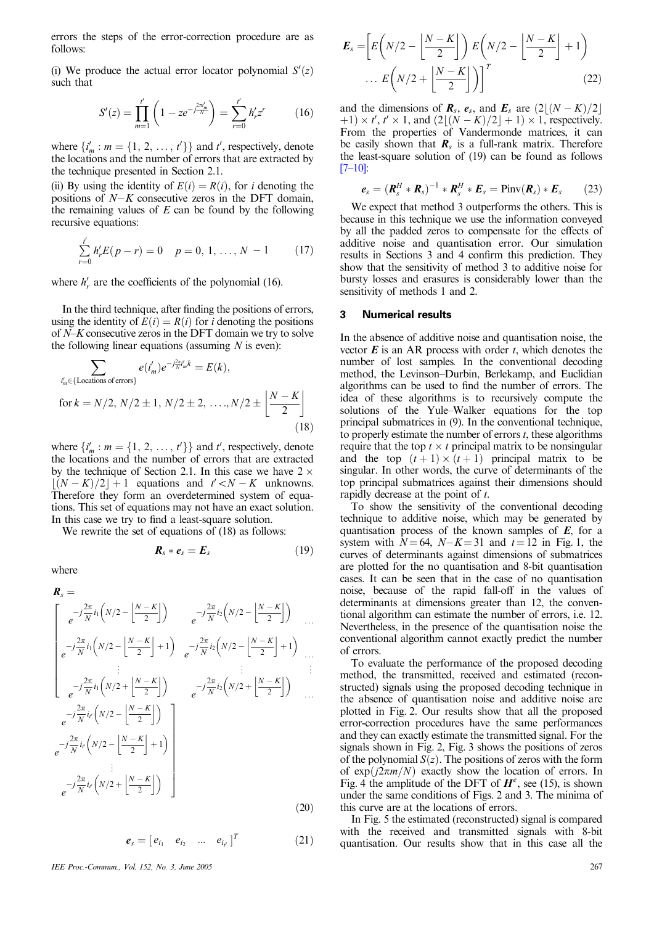errors the steps of the error-correction procedure are as follows:

(i) We produce the actual error locator polynomial  $S'(z)$ such that

$$
S'(z) = \prod_{m=1}^{t'} \left( 1 - z e^{-j\frac{2\pi}{N}} \right) = \sum_{r=0}^{t'} h'_r z^r \tag{16}
$$

where  $\{i'_m : m = \{1, 2, ..., t'\}\}\$ and  $t'$ , respectively, denote the locations and the number of errors that are extracted by the technique presented in Section 2.1.

(ii) By using the identity of  $E(i) = R(i)$ , for *i* denoting the positions of  $N-K$  consecutive zeros in the DFT domain, the remaining values of  $E$  can be found by the following recursive equations:

$$
\sum_{r=0}^{t'} h'_r E(p-r) = 0 \quad p = 0, 1, ..., N - 1 \qquad (17)
$$

where  $h'_r$  are the coefficients of the polynomial (16).

In the third technique, after finding the positions of errors, using the identity of  $E(i) = R(i)$  for *i* denoting the positions of N–K consecutive zeros in the DFT domain we try to solve the following linear equations (assuming  $N$  is even):

$$
\sum_{i'_m \in \{\text{Locations of errors}\}} e(i'_m) e^{-j\frac{2\pi}{N}i'_m k} = E(k),
$$
  
for  $k = N/2, N/2 \pm 1, N/2 \pm 2, ..., N/2 \pm \left\lfloor \frac{N-K}{2} \right\rfloor$  (18)

where  $\{i'_m : m = \{1, 2, ..., t'\}\}\$ and  $t'$ , respectively, denote the locations and the number of errors that are extracted by the technique of Section 2.1. In this case we have  $2 \times$  $\lfloor (N - K)/2 \rfloor + 1$  equations and  $t' < N - K$  unknowns. Therefore they form an overdetermined system of equations. This set of equations may not have an exact solution. In this case we try to find a least-square solution.

We rewrite the set of equations of  $(18)$  as follows:

$$
\boldsymbol{R}_s * \boldsymbol{e}_s = \boldsymbol{E}_s \tag{19}
$$

where

$$
\mathbf{R}_{s} = \begin{bmatrix} e^{-j\frac{2\pi}{N}i_{1}\left(N/2 - \left\lfloor \frac{N-K}{2} \right\rfloor\right)} & e^{-j\frac{2\pi}{N}i_{2}\left(N/2 - \left\lfloor \frac{N-K}{2} \right\rfloor\right)} & \dots \\ e^{-j\frac{2\pi}{N}i_{1}\left(N/2 - \left\lfloor \frac{N-K}{2} \right\rfloor + 1\right)} & e^{-j\frac{2\pi}{N}i_{2}\left(N/2 - \left\lfloor \frac{N-K}{2} \right\rfloor + 1\right)} & \dots \\ \vdots & \vdots & \vdots & \vdots \\ e^{-j\frac{2\pi}{N}i_{1}\left(N/2 + \left\lfloor \frac{N-K}{2} \right\rfloor\right)} & e^{-j\frac{2\pi}{N}i_{2}\left(N/2 + \left\lfloor \frac{N-K}{2} \right\rfloor\right)} & \dots \\ e^{-j\frac{2\pi}{N}i_{r}\left(N/2 - \left\lfloor \frac{N-K}{2} \right\rfloor + 1)} & \dots \\ e^{-j\frac{2\pi}{N}i_{r}\left(N/2 - \left\lfloor \frac{N-K}{2} \right\rfloor + 1\right)} & \dots \\ \vdots & \vdots & \vdots \\ e^{-j\frac{2\pi}{N}i_{r}\left(N/2 + \left\lfloor \frac{N-K}{2} \right\rfloor\right)} & \dots \end{bmatrix}
$$
\n(20)

$$
\boldsymbol{e}_{s} = \begin{bmatrix} e_{i_1} & e_{i_2} & \dots & e_{i_{t'}} \end{bmatrix}^T \tag{21}
$$

IEE Proc.-Commun., Vol. 152, No. 3, June 2005 267

$$
E_s = \left[ E\left(N/2 - \left\lfloor \frac{N-K}{2} \right\rfloor \right) E\left(N/2 - \left\lfloor \frac{N-K}{2} \right\rfloor + 1\right) \right]
$$

$$
\dots E\left(N/2 + \left\lfloor \frac{N-K}{2} \right\rfloor \right) \right]^T
$$
(22)

and the dimensions of  $\mathbf{R}_s$ ,  $\mathbf{e}_s$ , and  $\mathbf{E}_s$  are  $\left(2\left\lfloor (N-K)/2 \right\rfloor$  $(1) \times t'$ ,  $t' \times 1$ , and  $(2[(N-K)/2]+1) \times 1$ , respectively. From the properties of Vandermonde matrices, it can be easily shown that  $\mathbf{R}_s$  is a full-rank matrix. Therefore the least-square solution of (19) can be found as follows  $[7-10]$ 

$$
e_s = \left(R_s^H \ast R_s\right)^{-1} \ast R_s^H \ast E_s = \text{Pinv}(R_s) \ast E_s \qquad (23)
$$

We expect that method 3 outperforms the others. This is because in this technique we use the information conveyed by all the padded zeros to compensate for the effects of additive noise and quantisation error. Our simulation results in Sections 3 and 4 confirm this prediction. They show that the sensitivity of method 3 to additive noise for bursty losses and erasures is considerably lower than the sensitivity of methods 1 and 2.

#### **3 Numerical results**

In the absence of additive noise and quantisation noise, the vector  $\vec{E}$  is an AR process with order t, which denotes the number of lost samples. In the conventional decoding method, the Levinson–Durbin, Berlekamp, and Euclidian algorithms can be used to find the number of errors. The idea of these algorithms is to recursively compute the solutions of the Yule–Walker equations for the top principal submatrices in (9). In the conventional technique, to properly estimate the number of errors  $t$ , these algorithms require that the top  $t \times t$  principal matrix to be nonsingular and the top  $(t+1) \times (t+1)$  principal matrix to be singular. In other words, the curve of determinants of the top principal submatrices against their dimensions should rapidly decrease at the point of t.

To show the sensitivity of the conventional decoding technique to additive noise, which may be generated by quantisation process of the known samples of  $E$ , for a system with  $N=64$ ,  $N-K=31$  and  $t=12$  in Fig. 1, the curves of determinants against dimensions of submatrices are plotted for the no quantisation and 8-bit quantisation cases. It can be seen that in the case of no quantisation noise, because of the rapid fall-off in the values of determinants at dimensions greater than 12, the conventional algorithm can estimate the number of errors, i.e. 12. Nevertheless, in the presence of the quantisation noise the conventional algorithm cannot exactly predict the number of errors.

To evaluate the performance of the proposed decoding method, the transmitted, received and estimated (reconstructed) signals using the proposed decoding technique in the absence of quantisation noise and additive noise are plotted in Fig. 2. Our results show that all the proposed error-correction procedures have the same performances and they can exactly estimate the transmitted signal. For the signals shown in Fig. 2, Fig. 3 shows the positions of zeros of the polynomial  $S(z)$ . The positions of zeros with the form of  $\exp(j2\pi m/N)$  exactly show the location of errors. In Fig. 4 the amplitude of the DFT of  $H^e$ , see (15), is shown under the same conditions of Figs. 2 and 3. The minima of this curve are at the locations of errors.

In Fig. 5 the estimated (reconstructed) signal is compared with the received and transmitted signals with 8-bit quantisation. Our results show that in this case all the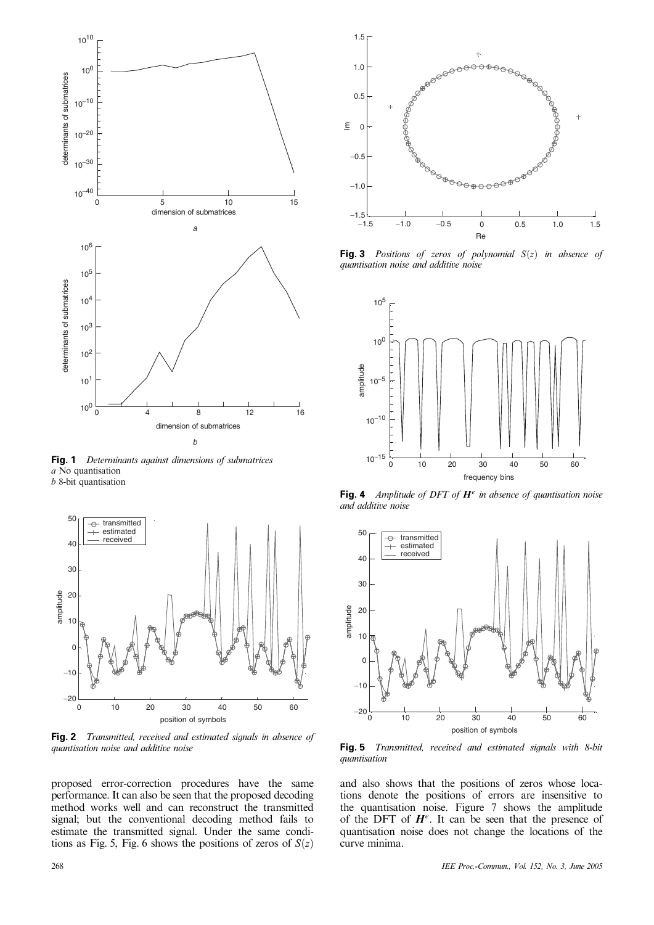

**Fig. 1** Determinants against dimensions of submatrices a No quantisation





**Fig. 2** Transmitted, received and estimated signals in absence of quantisation noise and additive noise

proposed error-correction procedures have the same performance. It can also be seen that the proposed decoding method works well and can reconstruct the transmitted signal; but the conventional decoding method fails to estimate the transmitted signal. Under the same conditions as Fig. 5, Fig. 6 shows the positions of zeros of  $S(z)$ 



**Fig. 3** Positions of zeros of polynomial  $S(z)$  in absence of quantisation noise and additive noise



**Fig. 4** Amplitude of DFT of H*<sup>e</sup>* in absence of quantisation noise and additive noise



**Fig. 5** Transmitted, received and estimated signals with 8-bit quantisation

and also shows that the positions of zeros whose locations denote the positions of errors are insensitive to the quantisation noise. Figure 7 shows the amplitude of the DFT of  $H^e$ . It can be seen that the presence of quantisation noise does not change the locations of the curve minima.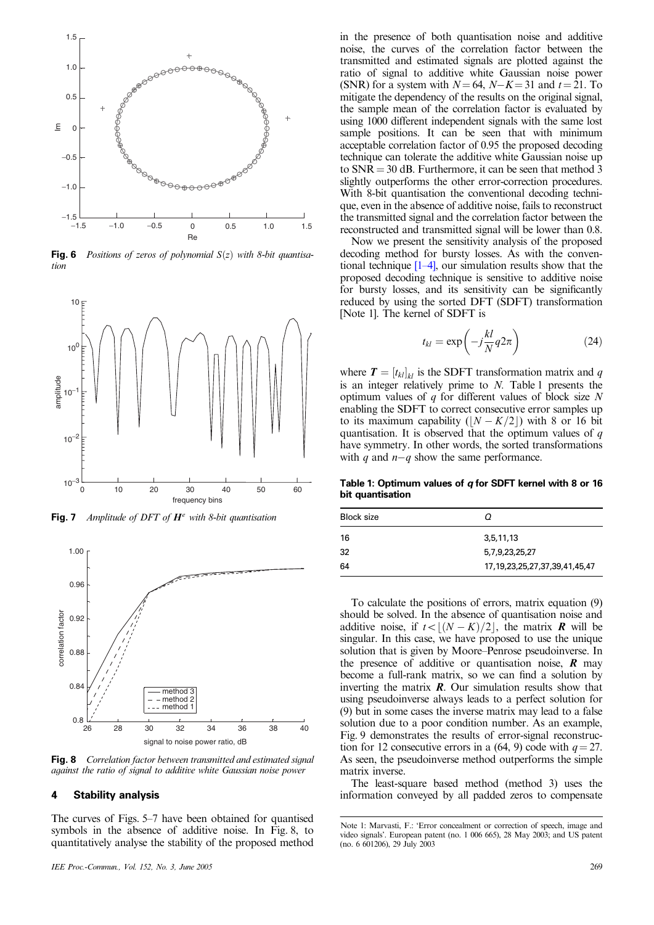

**Fig. 6** Positions of zeros of polynomial  $S(z)$  with 8-bit quantisation



**Fig. 7** Amplitude of DFT of H*<sup>e</sup>* with 8-bit quantisation



**Fig. 8** Correlation factor between transmitted and estimated signal against the ratio of signal to additive white Gaussian noise power

# **4 Stability analysis**

The curves of Figs. 5–7 have been obtained for quantised symbols in the absence of additive noise. In Fig. 8, to quantitatively analyse the stability of the proposed method

*IEE Proc.-Commun., Vol. 152, No. 3, June 2005* 269

in the presence of both quantisation noise and additive noise, the curves of the correlation factor between the transmitted and estimated signals are plotted against the ratio of signal to additive white Gaussian noise power (SNR) for a system with  $N=64$ ,  $N-K=31$  and  $t=21$ . To mitigate the dependency of the results on the original signal, the sample mean of the correlation factor is evaluated by using 1000 different independent signals with the same lost sample positions. It can be seen that with minimum acceptable correlation factor of 0.95 the proposed decoding technique can tolerate the additive white Gaussian noise up to  $SNR = 30$  dB. Furthermore, it can be seen that method 3 slightly outperforms the other error-correction procedures. With 8-bit quantisation the conventional decoding technique, even in the absence of additive noise, fails to reconstruct the transmitted signal and the correlation factor between the reconstructed and transmitted signal will be lower than 0.8.

Now we present the sensitivity analysis of the proposed decoding method for bursty losses. As with the conventional technique  $[1-4]$ , our simulation results show that the proposed decoding technique is sensitive to additive noise for bursty losses, and its sensitivity can be significantly reduced by using the sorted DFT (SDFT) transformation [Note 1]. The kernel of SDFT is

$$
t_{kl} = \exp\left(-j\frac{kl}{N}q2\pi\right) \tag{24}
$$

where  $T = [t_{kl}]_{kl}$  is the SDFT transformation matrix and q is an integer relatively prime to N. Table 1 presents the optimum values of  $q$  for different values of block size N enabling the SDFT to correct consecutive error samples up to its maximum capability  $(|N - K/2|)$  with 8 or 16 bit quantisation. It is observed that the optimum values of  $q$ have symmetry. In other words, the sorted transformations with q and  $n-q$  show the same performance.

**Table 1: Optimum values of** *q* **for SDFT kernel with 8 or 16 bit quantisation**

| <b>Block size</b> | Ω                                      |
|-------------------|----------------------------------------|
| 16                | 3,5,11,13                              |
| 32                | 5,7,9,23,25,27                         |
| 64                | 17, 19, 23, 25, 27, 37, 39, 41, 45, 47 |

To calculate the positions of errors, matrix equation (9) should be solved. In the absence of quantisation noise and additive noise, if  $t < |(N - K)/2|$ , the matrix **R** will be singular. In this case, we have proposed to use the unique solution that is given by Moore–Penrose pseudoinverse. In the presence of additive or quantisation noise,  $\bf{R}$  may become a full-rank matrix, so we can find a solution by inverting the matrix  $\mathbf{R}$ . Our simulation results show that using pseudoinverse always leads to a perfect solution for (9) but in some cases the inverse matrix may lead to a false solution due to a poor condition number. As an example, Fig. 9 demonstrates the results of error-signal reconstruction for 12 consecutive errors in a (64, 9) code with  $q = 27$ . As seen, the pseudoinverse method outperforms the simple matrix inverse.

The least-square based method (method 3) uses the information conveyed by all padded zeros to compensate

Note 1: Marvasti, F.: 'Error concealment or correction of speech, image and video signals'. European patent (no. 1 006 665), 28 May 2003; and US patent  $(no. 6 601206), 29$  July  $2003$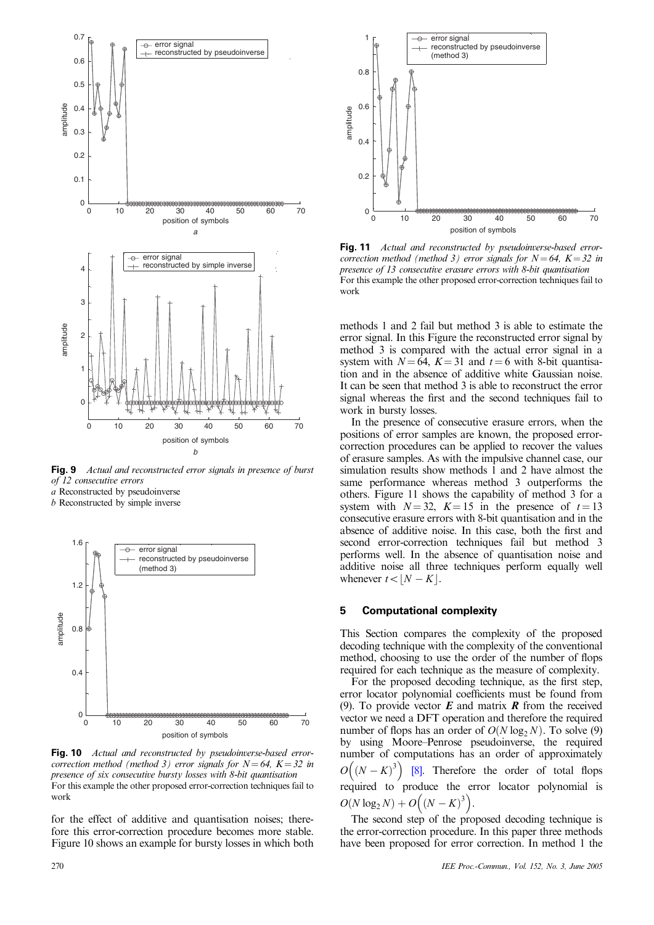

**Fig. 9** Actual and reconstructed error signals in presence of burst of 12 consecutive errors

a Reconstructed by pseudoinverse

b Reconstructed by simple inverse



**Fig. 10** Actual and reconstructed by pseudoinverse-based errorcorrection method (method 3) error signals for  $N=64$ ,  $K=32$  in presence of six consecutive bursty losses with 8-bit quantisation For this example the other proposed error-correction techniques fail to work

for the effect of additive and quantisation noises; therefore this error-correction procedure becomes more stable. Figure 10 shows an example for bursty losses in which both



**Fig. 11** Actual and reconstructed by pseudoinverse-based errorcorrection method (method 3) error signals for  $N = 64$ ,  $K = 32$  in presence of 13 consecutive erasure errors with 8-bit quantisation For this example the other proposed error-correction techniques fail to work

methods 1 and 2 fail but method 3 is able to estimate the error signal. In this Figure the reconstructed error signal by method 3 is compared with the actual error signal in a system with  $N = 64$ ,  $K = 31$  and  $t = 6$  with 8-bit quantisation and in the absence of additive white Gaussian noise. It can be seen that method 3 is able to reconstruct the error signal whereas the first and the second techniques fail to work in bursty losses.

In the presence of consecutive erasure errors, when the positions of error samples are known, the proposed errorcorrection procedures can be applied to recover the values of erasure samples. As with the impulsive channel case, our simulation results show methods 1 and 2 have almost the same performance whereas method 3 outperforms the others. Figure 11 shows the capability of method 3 for a system with  $N = 32$ ,  $K = 15$  in the presence of  $t = 13$ consecutive erasure errors with 8-bit quantisation and in the absence of additive noise. In this case, both the first and second error-correction techniques fail but method 3 performs well. In the absence of quantisation noise and additive noise all three techniques perform equally well whenever  $t < |N - K|$ .

## **5 Computational complexity**

This Section compares the complexity of the proposed decoding technique with the complexity of the conventional method, choosing to use the order of the number of flops required for each technique as the measure of complexity.

For the proposed decoding technique, as the first step, error locator polynomial coefficients must be found from (9). To provide vector  $\vec{E}$  and matrix  $\vec{R}$  from the received vector we need a DFT operation and therefore the required number of flops has an order of  $O(N \log_2 N)$ . To solve (9) by using Moore–Penrose pseudoinverse, the required number of computations has an order of approximately  $O((N-K)^3)$ [8]. Therefore the order of total flops required to produce the error locator polynomial is  $O(N \log_2 N) + O\left(\left(N - K\right)^3\right).$ 

The second step of the proposed decoding technique is the error-correction procedure. In this paper three methods have been proposed for error correction. In method 1 the